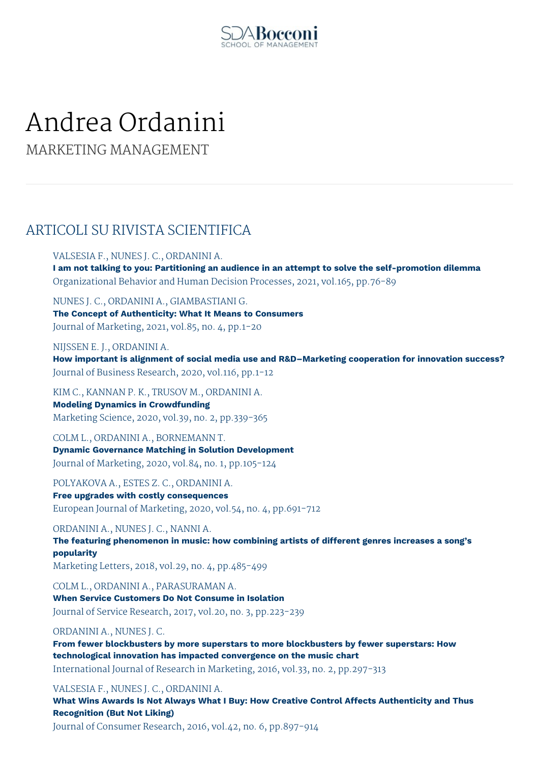

# Andrea Ordanini

MARKETING MANAGEMENT

# ARTICOLI SU RIVISTA SCIENTIFICA

VALSESIA F., NUNES J. C., ORDANINI A. **I am not talking to you: Partitioning an audience in an attempt to solve the self-promotion dilemma** Organizational Behavior and Human Decision Processes, 2021, vol.165, pp.76-89

NUNES J. C., ORDANINI A., GIAMBASTIANI G. **The Concept of Authenticity: What It Means to Consumers** Journal of Marketing, 2021, vol.85, no. 4, pp.1-20

NIJSSEN E. J., ORDANINI A. **How important is alignment of social media use and R&D–Marketing cooperation for innovation success?** Journal of Business Research, 2020, vol.116, pp.1-12

KIM C., KANNAN P. K., TRUSOV M., ORDANINI A. **Modeling Dynamics in Crowdfunding** Marketing Science, 2020, vol.39, no. 2, pp.339-365

COLM L., ORDANINI A., BORNEMANN T. **Dynamic Governance Matching in Solution Development** Journal of Marketing, 2020, vol.84, no. 1, pp.105-124

POLYAKOVA A., ESTES Z. C., ORDANINI A. **Free upgrades with costly consequences** European Journal of Marketing, 2020, vol.54, no. 4, pp.691-712

ORDANINI A., NUNES J. C., NANNI A.

**The featuring phenomenon in music: how combining artists of different genres increases a song's popularity**

Marketing Letters, 2018, vol.29, no. 4, pp.485-499

COLM L., ORDANINI A., PARASURAMAN A. **When Service Customers Do Not Consume in Isolation** Journal of Service Research, 2017, vol.20, no. 3, pp.223-239

# ORDANINI A., NUNES J. C.

**From fewer blockbusters by more superstars to more blockbusters by fewer superstars: How technological innovation has impacted convergence on the music chart** International Journal of Research in Marketing, 2016, vol.33, no. 2, pp.297-313

VALSESIA F., NUNES J. C., ORDANINI A.

**What Wins Awards Is Not Always What I Buy: How Creative Control Affects Authenticity and Thus Recognition (But Not Liking)**

Journal of Consumer Research, 2016, vol.42, no. 6, pp.897-914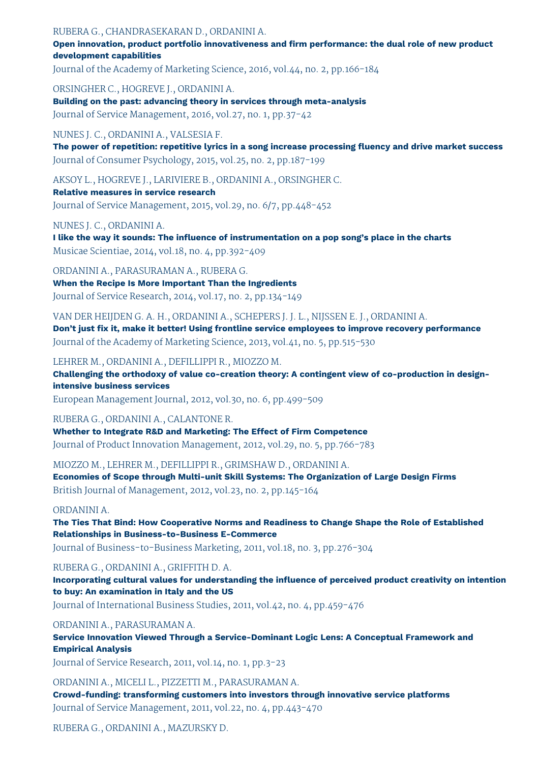### RUBERA G., CHANDRASEKARAN D., ORDANINI A.

**Open innovation, product portfolio innovativeness and firm performance: the dual role of new product development capabilities**

Journal of the Academy of Marketing Science, 2016, vol.44, no. 2, pp.166-184

ORSINGHER C., HOGREVE J., ORDANINI A.

**Building on the past: advancing theory in services through meta-analysis** Journal of Service Management, 2016, vol.27, no. 1, pp.37-42

# NUNES J. C., ORDANINI A., VALSESIA F.

**The power of repetition: repetitive lyrics in a song increase processing fluency and drive market success** Journal of Consumer Psychology, 2015, vol.25, no. 2, pp.187-199

AKSOY L., HOGREVE J., LARIVIERE B., ORDANINI A., ORSINGHER C.

# **Relative measures in service research**

Journal of Service Management, 2015, vol.29, no. 6/7, pp.448-452

## NUNES J. C., ORDANINI A.

**I like the way it sounds: The influence of instrumentation on a pop song's place in the charts** Musicae Scientiae, 2014, vol.18, no. 4, pp.392-409

ORDANINI A., PARASURAMAN A., RUBERA G. **When the Recipe Is More Important Than the Ingredients** Journal of Service Research, 2014, vol.17, no. 2, pp.134-149

VAN DER HEIJDEN G. A. H., ORDANINI A., SCHEPERS J. J. L., NIJSSEN E. J., ORDANINI A. **Don't just fix it, make it better! Using frontline service employees to improve recovery performance** Journal of the Academy of Marketing Science, 2013, vol.41, no. 5, pp.515-530

LEHRER M., ORDANINI A., DEFILLIPPI R., MIOZZO M.

**Challenging the orthodoxy of value co-creation theory: A contingent view of co-production in designintensive business services**

European Management Journal, 2012, vol.30, no. 6, pp.499-509

RUBERA G., ORDANINI A., CALANTONE R.

**Whether to Integrate R&D and Marketing: The Effect of Firm Competence** Journal of Product Innovation Management, 2012, vol.29, no. 5, pp.766-783

MIOZZO M., LEHRER M., DEFILLIPPI R., GRIMSHAW D., ORDANINI A. **Economies of Scope through Multi-unit Skill Systems: The Organization of Large Design Firms** British Journal of Management, 2012, vol.23, no. 2, pp.145-164

#### ORDANINI A.

**The Ties That Bind: How Cooperative Norms and Readiness to Change Shape the Role of Established Relationships in Business-to-Business E-Commerce**

Journal of Business-to-Business Marketing, 2011, vol.18, no. 3, pp.276-304

RUBERA G., ORDANINI A., GRIFFITH D. A.

**Incorporating cultural values for understanding the influence of perceived product creativity on intention to buy: An examination in Italy and the US**

Journal of International Business Studies, 2011, vol.42, no. 4, pp.459-476

## ORDANINI A., PARASURAMAN A.

**Service Innovation Viewed Through a Service-Dominant Logic Lens: A Conceptual Framework and Empirical Analysis**

Journal of Service Research, 2011, vol.14, no. 1, pp.3-23

ORDANINI A., MICELI L., PIZZETTI M., PARASURAMAN A.

**Crowd-funding: transforming customers into investors through innovative service platforms** Journal of Service Management, 2011, vol.22, no. 4, pp.443-470

RUBERA G., ORDANINI A., MAZURSKY D.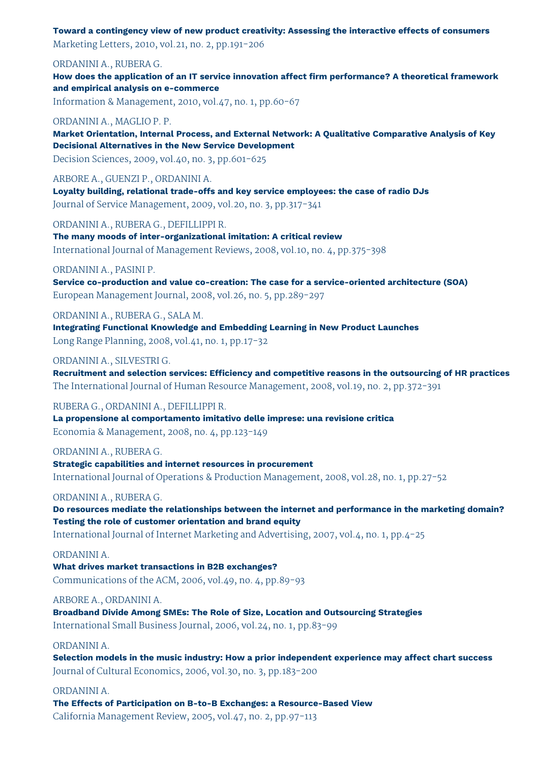**Toward a contingency view of new product creativity: Assessing the interactive effects of consumers** Marketing Letters, 2010, vol.21, no. 2, pp.191-206

ORDANINI A., RUBERA G.

**How does the application of an IT service innovation affect firm performance? A theoretical framework and empirical analysis on e-commerce** Information & Management, 2010, vol.47, no. 1, pp.60-67

#### ORDANINI A., MAGLIO P. P.

**Market Orientation, Internal Process, and External Network: A Qualitative Comparative Analysis of Key Decisional Alternatives in the New Service Development**

Decision Sciences, 2009, vol.40, no. 3, pp.601-625

ARBORE A., GUENZI P., ORDANINI A. **Loyalty building, relational trade-offs and key service employees: the case of radio DJs**

Journal of Service Management, 2009, vol.20, no. 3, pp.317-341

ORDANINI A., RUBERA G., DEFILLIPPI R.

**The many moods of inter-organizational imitation: A critical review** International Journal of Management Reviews, 2008, vol.10, no. 4, pp.375-398

ORDANINI A., PASINI P.

**Service co-production and value co-creation: The case for a service-oriented architecture (SOA)** European Management Journal, 2008, vol.26, no. 5, pp.289-297

ORDANINI A., RUBERA G., SALA M.

**Integrating Functional Knowledge and Embedding Learning in New Product Launches** Long Range Planning, 2008, vol.41, no. 1, pp.17-32

ORDANINI A., SILVESTRI G.

**Recruitment and selection services: Efficiency and competitive reasons in the outsourcing of HR practices** The International Journal of Human Resource Management, 2008, vol.19, no. 2, pp.372-391

#### RUBERA G., ORDANINI A., DEFILLIPPI R.

**La propensione al comportamento imitativo delle imprese: una revisione critica** Economia & Management, 2008, no. 4, pp.123-149

ORDANINI A., RUBERA G.

**Strategic capabilities and internet resources in procurement** International Journal of Operations & Production Management, 2008, vol.28, no. 1, pp.27-52

## ORDANINI A., RUBERA G.

**Do resources mediate the relationships between the internet and performance in the marketing domain? Testing the role of customer orientation and brand equity**

International Journal of Internet Marketing and Advertising, 2007, vol.4, no. 1, pp.4-25

## ORDANINI A.

**What drives market transactions in B2B exchanges?** Communications of the ACM, 2006, vol.49, no. 4, pp.89-93

# ARBORE A., ORDANINI A.

**Broadband Divide Among SMEs: The Role of Size, Location and Outsourcing Strategies** International Small Business Journal, 2006, vol.24, no. 1, pp.83-99

## ORDANINI A.

**Selection models in the music industry: How a prior independent experience may affect chart success** Journal of Cultural Economics, 2006, vol.30, no. 3, pp.183-200

# ORDANINI A.

**The Effects of Participation on B-to-B Exchanges: a Resource-Based View** California Management Review, 2005, vol.47, no. 2, pp.97-113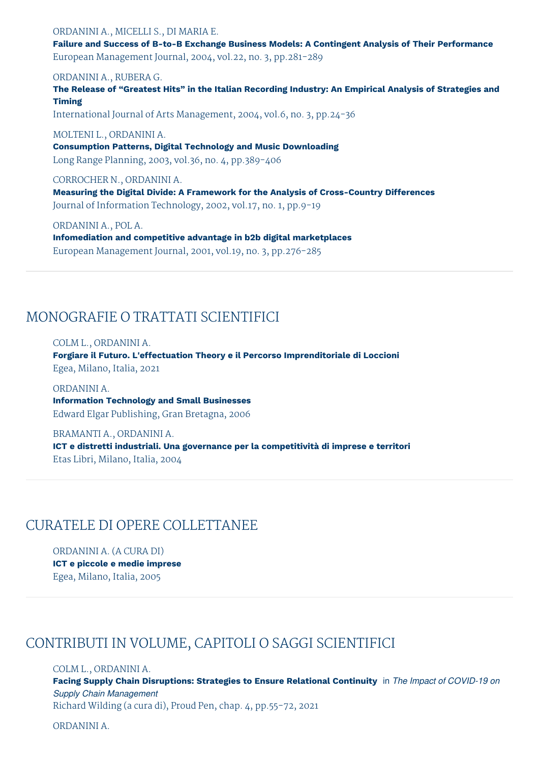ORDANINI A., MICELLI S., DI MARIA E. **Failure and Success of B-to-B Exchange Business Models: A Contingent Analysis of Their Performance** European Management Journal, 2004, vol.22, no. 3, pp.281-289

ORDANINI A., RUBERA G.

**The Release of "Greatest Hits" in the Italian Recording Industry: An Empirical Analysis of Strategies and Timing**

International Journal of Arts Management, 2004, vol.6, no. 3, pp.24-36

MOLTENI L., ORDANINI A.

**Consumption Patterns, Digital Technology and Music Downloading** Long Range Planning, 2003, vol.36, no. 4, pp.389-406

CORROCHER N., ORDANINI A.

**Measuring the Digital Divide: A Framework for the Analysis of Cross-Country Differences** Journal of Information Technology, 2002, vol.17, no. 1, pp.9-19

ORDANINI A., POL A.

**Infomediation and competitive advantage in b2b digital marketplaces** European Management Journal, 2001, vol.19, no. 3, pp.276-285

# MONOGRAFIE O TRATTATI SCIENTIFICI

COLM L., ORDANINI A.

**Forgiare il Futuro. L'effectuation Theory e il Percorso Imprenditoriale di Loccioni** Egea, Milano, Italia, 2021

ORDANINI A. **Information Technology and Small Businesses** Edward Elgar Publishing, Gran Bretagna, 2006

BRAMANTI A., ORDANINI A. **ICT e distretti industriali. Una governance per la competitività di imprese e territori** Etas Libri, Milano, Italia, 2004

# CURATELE DI OPERE COLLETTANEE

ORDANINI A. (A CURA DI) **ICT e piccole e medie imprese** Egea, Milano, Italia, 2005

# CONTRIBUTI IN VOLUME, CAPITOLI O SAGGI SCIENTIFICI

COLM L., ORDANINI A. **Facing Supply Chain Disruptions: Strategies to Ensure Relational Continuity** in *The Impact of COVID-19 on Supply Chain Management* Richard Wilding (a cura di), Proud Pen, chap. 4, pp.55-72, 2021

ORDANINI A.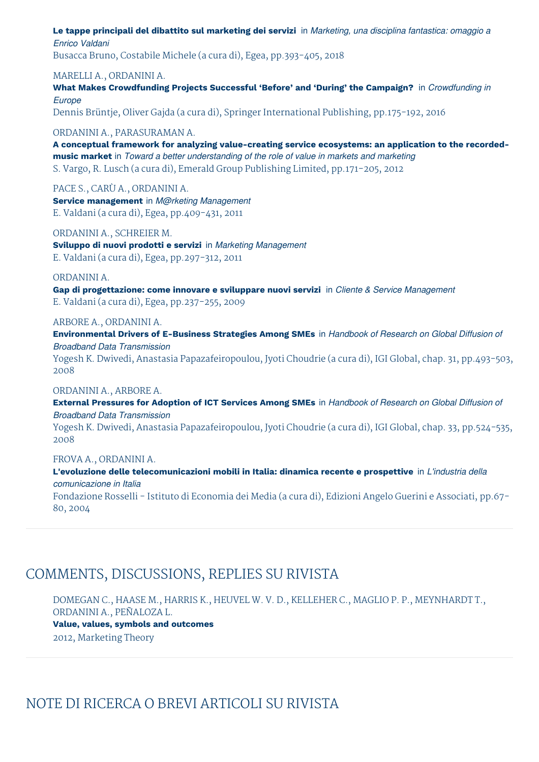**Le tappe principali del dibattito sul marketing dei servizi** in *Marketing, una disciplina fantastica: omaggio a Enrico Valdani*

Busacca Bruno, Costabile Michele (a cura di), Egea, pp.393-405, 2018

### MARELLI A., ORDANINI A.

**What Makes Crowdfunding Projects Successful 'Before' and 'During' the Campaign?** in *Crowdfunding in Europe*

Dennis Brüntje, Oliver Gajda (a cura di), Springer International Publishing, pp.175-192, 2016

### ORDANINI A., PARASURAMAN A.

**A conceptual framework for analyzing value-creating service ecosystems: an application to the recordedmusic market** in *Toward a better understanding of the role of value in markets and marketing* S. Vargo, R. Lusch (a cura di), Emerald Group Publishing Limited, pp.171-205, 2012

PACE S., CARÙ A., ORDANINI A. **Service management** in *M@rketing Management* E. Valdani (a cura di), Egea, pp.409-431, 2011

ORDANINI A., SCHREIER M. **Sviluppo di nuovi prodotti e servizi** in *Marketing Management* E. Valdani (a cura di), Egea, pp.297-312, 2011

#### ORDANINI A.

**Gap di progettazione: come innovare e sviluppare nuovi servizi** in *Cliente & Service Management* E. Valdani (a cura di), Egea, pp.237-255, 2009

#### ARBORE A., ORDANINI A.

**Environmental Drivers of E-Business Strategies Among SMEs** in *Handbook of Research on Global Diffusion of Broadband Data Transmission* Yogesh K. Dwivedi, Anastasia Papazafeiropoulou, Jyoti Choudrie (a cura di), IGI Global, chap. 31, pp.493-503, 2008

## ORDANINI A., ARBORE A.

**External Pressures for Adoption of ICT Services Among SMEs** in *Handbook of Research on Global Diffusion of Broadband Data Transmission*

Yogesh K. Dwivedi, Anastasia Papazafeiropoulou, Jyoti Choudrie (a cura di), IGI Global, chap. 33, pp.524-535, 2008

#### FROVA A., ORDANINI A.

**L'evoluzione delle telecomunicazioni mobili in Italia: dinamica recente e prospettive** in *L'industria della comunicazione in Italia*

Fondazione Rosselli - Istituto di Economia dei Media (a cura di), Edizioni Angelo Guerini e Associati, pp.67- 80, 2004

# COMMENTS, DISCUSSIONS, REPLIES SU RIVISTA

DOMEGAN C., HAASE M., HARRIS K., HEUVEL W. V. D., KELLEHER C., MAGLIO P. P., MEYNHARDT T., ORDANINI A., PEÑALOZA L.

**Value, values, symbols and outcomes** 2012, Marketing Theory

# NOTE DI RICERCA O BREVI ARTICOLI SU RIVISTA